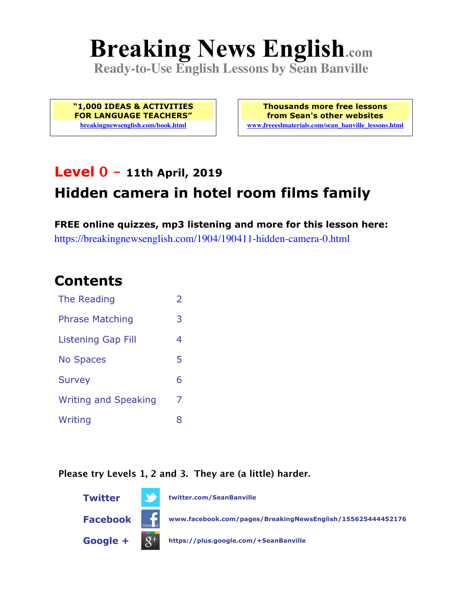# **Breaking News English.com**

**Ready-to-Use English Lessons by Sean Banville**

**"1,000 IDEAS & ACTIVITIES FOR LANGUAGE TEACHERS" breakingnewsenglish.com/book.html**

**Thousands more free lessons from Sean's other websites www.freeeslmaterials.com/sean\_banville\_lessons.html**

### **Level 0 - 11th April, 2019**

# **Hidden camera in hotel room films family**

**FREE online quizzes, mp3 listening and more for this lesson here:** https://breakingnewsenglish.com/1904/190411-hidden-camera-0.html

### **Contents**

| The Reading                 | $\overline{\phantom{a}}$ |
|-----------------------------|--------------------------|
| <b>Phrase Matching</b>      | 3                        |
| Listening Gap Fill          | 4                        |
| <b>No Spaces</b>            | 5                        |
| <b>Survey</b>               | 6                        |
| <b>Writing and Speaking</b> | 7                        |
| Writing                     | 8                        |

#### **Please try Levels 1, 2 and 3. They are (a little) harder.**

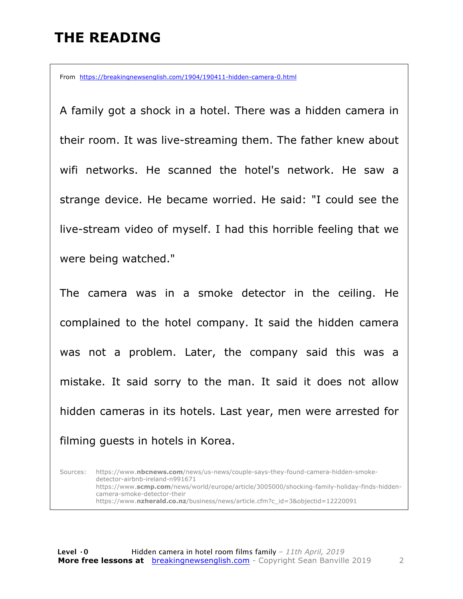# **THE READING**

From https://breakingnewsenglish.com/1904/190411-hidden-camera-0.html

A family got a shock in a hotel. There was a hidden camera in their room. It was live-streaming them. The father knew about wifi networks. He scanned the hotel's network. He saw a strange device. He became worried. He said: "I could see the live-stream video of myself. I had this horrible feeling that we were being watched."

The camera was in a smoke detector in the ceiling. He complained to the hotel company. It said the hidden camera was not a problem. Later, the company said this was a mistake. It said sorry to the man. It said it does not allow hidden cameras in its hotels. Last year, men were arrested for filming guests in hotels in Korea.

Sources: https://www.**nbcnews.com**/news/us-news/couple-says-they-found-camera-hidden-smokedetector-airbnb-ireland-n991671 https://www.**scmp.com**/news/world/europe/article/3005000/shocking-family-holiday-finds-hiddencamera-smoke-detector-their https://www.**nzherald.co.nz**/business/news/article.cfm?c\_id=3&objectid=12220091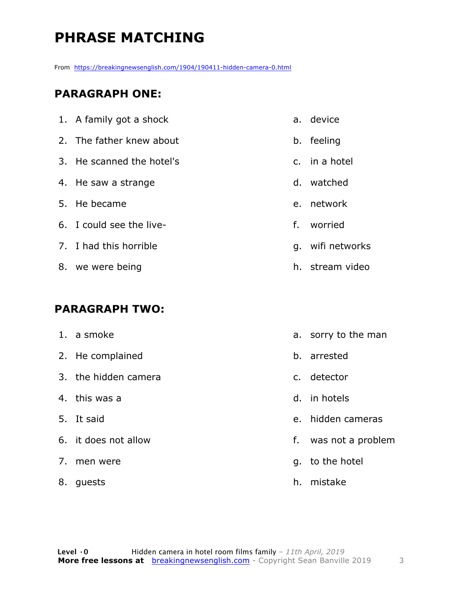# **PHRASE MATCHING**

From https://breakingnewsenglish.com/1904/190411-hidden-camera-0.html

#### **PARAGRAPH ONE:**

| 1. A family got a shock   |    | a. device        |
|---------------------------|----|------------------|
| 2. The father knew about  |    | b. feeling       |
| 3. He scanned the hotel's |    | c. in a hotel    |
| 4. He saw a strange       |    | d. watched       |
| 5. He became              |    | e. network       |
| 6. I could see the live-  | f. | worried          |
| 7. I had this horrible    |    | q. wifi networks |
| 8. we were being          |    | h. stream video  |
|                           |    |                  |

#### **PARAGRAPH TWO:**

| 1. a smoke           | a. sorry to the man  |
|----------------------|----------------------|
| 2. He complained     | b. arrested          |
| 3. the hidden camera | c. detector          |
| 4. this was a        | d. in hotels         |
| 5. It said           | e. hidden cameras    |
| 6. it does not allow | f. was not a problem |
| 7. men were          | g. to the hotel      |
| 8. guests            | h. mistake           |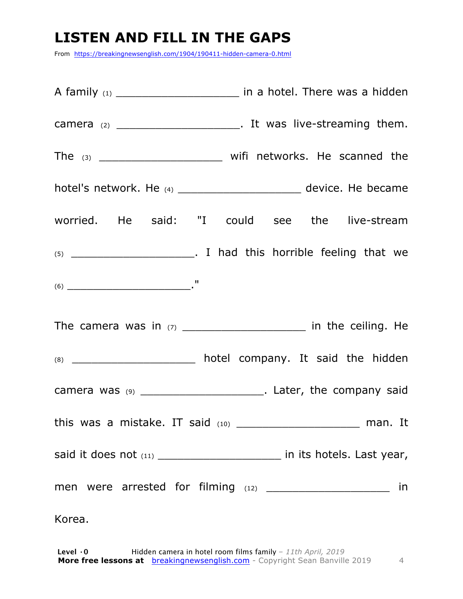# **LISTEN AND FILL IN THE GAPS**

From https://breakingnewsenglish.com/1904/190411-hidden-camera-0.html

|                                                                                                                                                                                                                                                                                                                                                                                                            | A family (1) __________________________ in a hotel. There was a hidden     |  |  |  |
|------------------------------------------------------------------------------------------------------------------------------------------------------------------------------------------------------------------------------------------------------------------------------------------------------------------------------------------------------------------------------------------------------------|----------------------------------------------------------------------------|--|--|--|
|                                                                                                                                                                                                                                                                                                                                                                                                            |                                                                            |  |  |  |
|                                                                                                                                                                                                                                                                                                                                                                                                            | The (3) ___________________________ wifi networks. He scanned the          |  |  |  |
|                                                                                                                                                                                                                                                                                                                                                                                                            | hotel's network. He (4) _______________________ device. He became          |  |  |  |
|                                                                                                                                                                                                                                                                                                                                                                                                            | worried. He said: "I could see the live-stream                             |  |  |  |
|                                                                                                                                                                                                                                                                                                                                                                                                            |                                                                            |  |  |  |
| $(6) \begin{tabular}{l} \hline \rule[1em]{1em}{1em} \rule[1em]{1em}{1em} \rule[1em]{1em}{1em} \rule[1em]{1em}{1em} \rule[1em]{1em}{1em} \rule[1em]{1em}{1em} \rule[1em]{1em}{1em} \rule[1em]{1em}{1em} \rule[1em]{1em}{1em} \rule[1em]{1em}{1em} \rule[1em]{1em}{1em} \rule[1em]{1em}{1em} \rule[1em]{1em}{1em} \rule[1em]{1em}{1em} \rule[1em]{1em}{1em} \rule[1em]{1em}{1em} \rule[1em]{1em}{1em} \rule$ |                                                                            |  |  |  |
|                                                                                                                                                                                                                                                                                                                                                                                                            | The camera was in (7) ________________________ in the ceiling. He          |  |  |  |
|                                                                                                                                                                                                                                                                                                                                                                                                            | (8) _________________________ hotel company. It said the hidden            |  |  |  |
|                                                                                                                                                                                                                                                                                                                                                                                                            |                                                                            |  |  |  |
|                                                                                                                                                                                                                                                                                                                                                                                                            | this was a mistake. IT said (10) ________________________ man. It          |  |  |  |
|                                                                                                                                                                                                                                                                                                                                                                                                            | said it does not (11) __________________________ in its hotels. Last year, |  |  |  |
|                                                                                                                                                                                                                                                                                                                                                                                                            | men were arrested for filming $(12)$ _______________________<br>in         |  |  |  |
| Korea.                                                                                                                                                                                                                                                                                                                                                                                                     |                                                                            |  |  |  |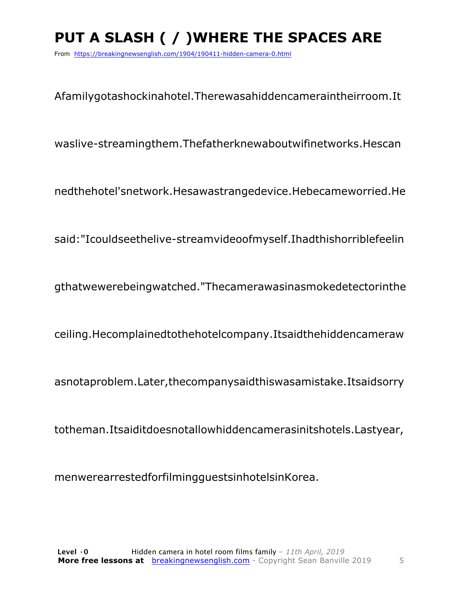# **PUT A SLASH ( / )WHERE THE SPACES ARE**

From https://breakingnewsenglish.com/1904/190411-hidden-camera-0.html

Afamilygotashockinahotel.Therewasahiddencameraintheirroom.It

waslive-streamingthem.Thefatherknewaboutwifinetworks.Hescan

nedthehotel'snetwork.Hesawastrangedevice.Hebecameworried.He

said:"Icouldseethelive-streamvideoofmyself.Ihadthishorriblefeelin

gthatwewerebeingwatched."Thecamerawasinasmokedetectorinthe

ceiling.Hecomplainedtothehotelcompany.Itsaidthehiddencameraw

asnotaproblem.Later,thecompanysaidthiswasamistake.Itsaidsorry

totheman.Itsaiditdoesnotallowhiddencamerasinitshotels.Lastyear,

menwerearrestedforfilmingguestsinhotelsinKorea.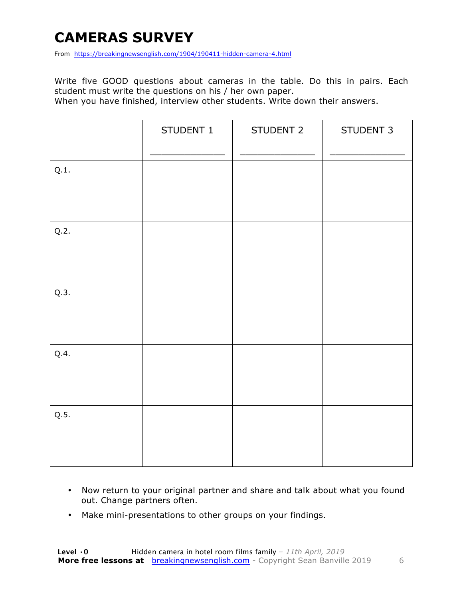# **CAMERAS SURVEY**

From https://breakingnewsenglish.com/1904/190411-hidden-camera-4.html

Write five GOOD questions about cameras in the table. Do this in pairs. Each student must write the questions on his / her own paper.

When you have finished, interview other students. Write down their answers.

|      | STUDENT 1 | STUDENT 2 | STUDENT 3 |
|------|-----------|-----------|-----------|
| Q.1. |           |           |           |
| Q.2. |           |           |           |
| Q.3. |           |           |           |
| Q.4. |           |           |           |
| Q.5. |           |           |           |

- Now return to your original partner and share and talk about what you found out. Change partners often.
- Make mini-presentations to other groups on your findings.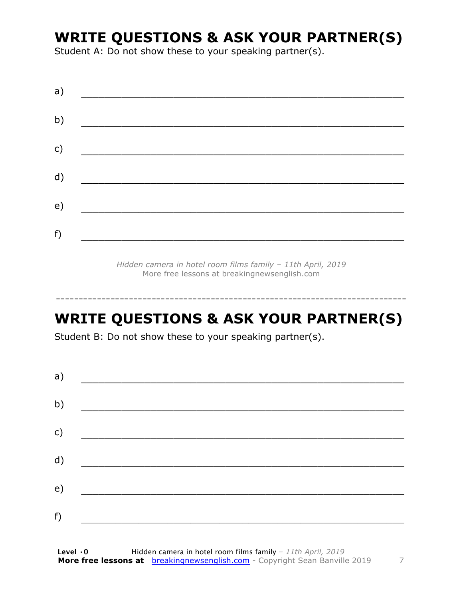### **WRITE QUESTIONS & ASK YOUR PARTNER(S)**

Student A: Do not show these to your speaking partner(s).

| a) |  |  |
|----|--|--|
| b) |  |  |
| c) |  |  |
| d) |  |  |
| e) |  |  |
| f) |  |  |
|    |  |  |

*Hidden camera in hotel room films family – 11th April, 2019* More free lessons at breakingnewsenglish.com

# **WRITE QUESTIONS & ASK YOUR PARTNER(S)**

-----------------------------------------------------------------------------

Student B: Do not show these to your speaking partner(s).

| a) |  |  |
|----|--|--|
| b) |  |  |
| c) |  |  |
| d) |  |  |
| e) |  |  |
| f) |  |  |
|    |  |  |